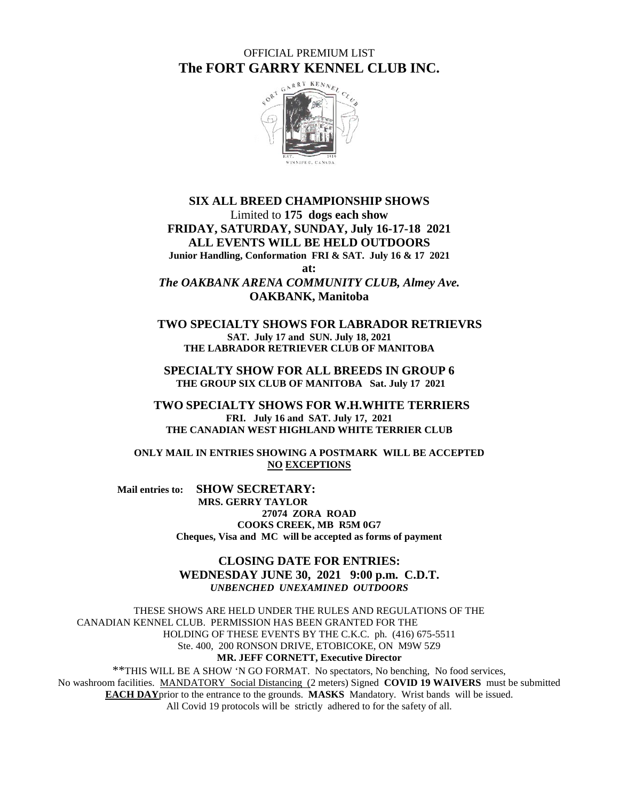OFFICIAL PREMIUM LIST **The FORT GARRY KENNEL CLUB INC.**



#### **SIX ALL BREED CHAMPIONSHIP SHOWS** Limited to **175 dogs each show FRIDAY, SATURDAY, SUNDAY, July 16-17-18 2021 ALL EVENTS WILL BE HELD OUTDOORS Junior Handling, Conformation FRI & SAT. July 16 & 17 2021 at:** *The OAKBANK ARENA COMMUNITY CLUB, Almey Ave.* **OAKBANK, Manitoba**

 **TWO SPECIALTY SHOWS FOR LABRADOR RETRIEVRS SAT. July 17 and SUN. July 18, 2021 THE LABRADOR RETRIEVER CLUB OF MANITOBA**

**SPECIALTY SHOW FOR ALL BREEDS IN GROUP 6 THE GROUP SIX CLUB OF MANITOBA Sat. July 17 2021** 

 **TWO SPECIALTY SHOWS FOR W.H.WHITE TERRIERS FRI. July 16 and SAT. July 17, 2021 THE CANADIAN WEST HIGHLAND WHITE TERRIER CLUB**

**ONLY MAIL IN ENTRIES SHOWING A POSTMARK WILL BE ACCEPTED NO EXCEPTIONS**

 **Mail entries to: SHOW SECRETARY: MRS. GERRY TAYLOR 27074 ZORA ROAD COOKS CREEK, MB R5M 0G7 Cheques, Visa and MC will be accepted as forms of payment**

> **CLOSING DATE FOR ENTRIES: WEDNESDAY JUNE 30, 2021 9:00 p.m. C.D.T.** *UNBENCHED UNEXAMINED OUTDOORS*

THESE SHOWS ARE HELD UNDER THE RULES AND REGULATIONS OF THE CANADIAN KENNEL CLUB. PERMISSION HAS BEEN GRANTED FOR THE HOLDING OF THESE EVENTS BY THE C.K.C. ph. (416) 675-5511 Ste. 400, 200 RONSON DRIVE, ETOBICOKE, ON M9W 5Z9 **MR. JEFF CORNETT, Executive Director**

\*\*THIS WILL BE A SHOW 'N GO FORMAT. No spectators, No benching, No food services, No washroom facilities. MANDATORY Social Distancing (2 meters) Signed **COVID 19 WAIVERS** must be submitted **EACH DAY**prior to the entrance to the grounds. **MASKS** Mandatory. Wrist bands will be issued. All Covid 19 protocols will be strictly adhered to for the safety of all.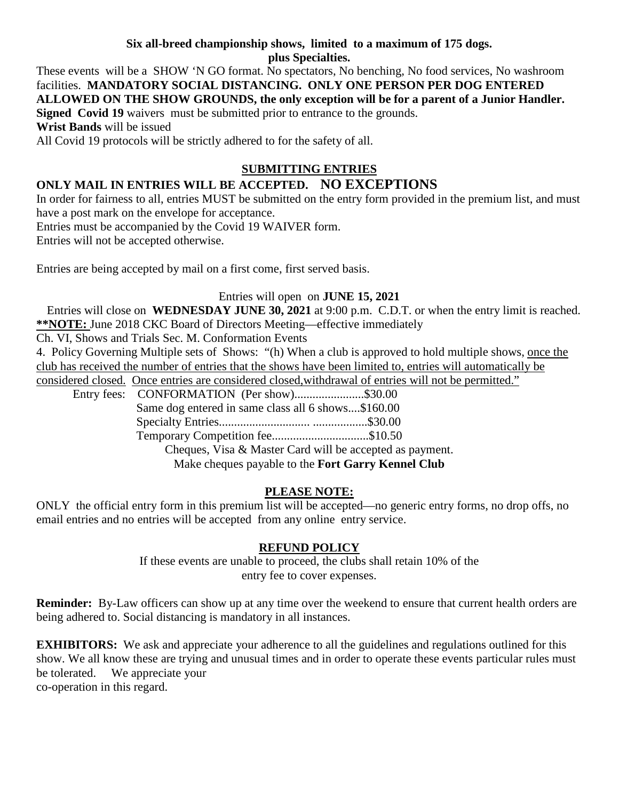#### **Six all-breed championship shows, limited to a maximum of 175 dogs. plus Specialties.**

These events will be a SHOW 'N GO format. No spectators, No benching, No food services, No washroom facilities. **MANDATORY SOCIAL DISTANCING. ONLY ONE PERSON PER DOG ENTERED ALLOWED ON THE SHOW GROUNDS, the only exception will be for a parent of a Junior Handler. Signed Covid 19** waivers must be submitted prior to entrance to the grounds. **Wrist Bands** will be issued

All Covid 19 protocols will be strictly adhered to for the safety of all.

# **SUBMITTING ENTRIES**

# **ONLY MAIL IN ENTRIES WILL BE ACCEPTED. NO EXCEPTIONS**

In order for fairness to all, entries MUST be submitted on the entry form provided in the premium list, and must have a post mark on the envelope for acceptance.

Entries must be accompanied by the Covid 19 WAIVER form.

Entries will not be accepted otherwise.

Entries are being accepted by mail on a first come, first served basis.

## Entries will open on **JUNE 15, 2021**

 Entries will close on **WEDNESDAY JUNE 30, 2021** at 9:00 p.m. C.D.T. or when the entry limit is reached. **\*\*NOTE:** June 2018 CKC Board of Directors Meeting—effective immediately

Ch. VI, Shows and Trials Sec. M. Conformation Events

4. Policy Governing Multiple sets of Shows: "(h) When a club is approved to hold multiple shows, once the club has received the number of entries that the shows have been limited to, entries will automatically be

considered closed. Once entries are considered closed,withdrawal of entries will not be permitted."

Entry fees: CONFORMATION (Per show).........................\$30.00 Same dog entered in same class all 6 shows....\$160.00 Specialty Entries.............................. ..................\$30.00 Temporary Competition fee................................\$10.50

Cheques, Visa & Master Card will be accepted as payment.

Make cheques payable to the **Fort Garry Kennel Club**

# **PLEASE NOTE:**

ONLY the official entry form in this premium list will be accepted—no generic entry forms, no drop offs, no email entries and no entries will be accepted from any online entry service.

## **REFUND POLICY**

If these events are unable to proceed, the clubs shall retain 10% of the entry fee to cover expenses.

**Reminder:** By-Law officers can show up at any time over the weekend to ensure that current health orders are being adhered to. Social distancing is mandatory in all instances.

**EXHIBITORS:** We ask and appreciate your adherence to all the guidelines and regulations outlined for this show. We all know these are trying and unusual times and in order to operate these events particular rules must be tolerated. We appreciate your co-operation in this regard.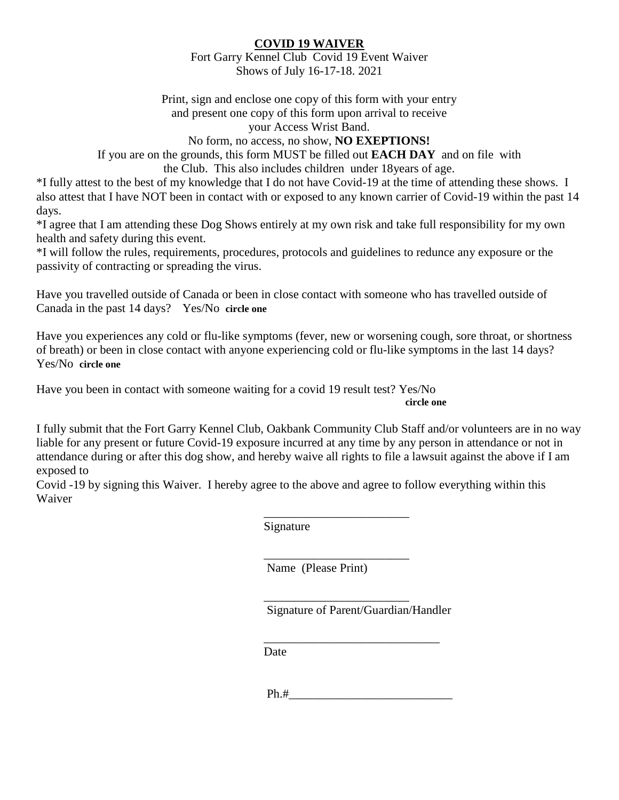## **COVID 19 WAIVER**

Fort Garry Kennel Club Covid 19 Event Waiver Shows of July 16-17-18. 2021

Print, sign and enclose one copy of this form with your entry and present one copy of this form upon arrival to receive your Access Wrist Band.

No form, no access, no show, **NO EXEPTIONS!**

If you are on the grounds, this form MUST be filled out **EACH DAY** and on file with the Club. This also includes children under 18years of age.

\*I fully attest to the best of my knowledge that I do not have Covid-19 at the time of attending these shows. I also attest that I have NOT been in contact with or exposed to any known carrier of Covid-19 within the past 14 days.

\*I agree that I am attending these Dog Shows entirely at my own risk and take full responsibility for my own health and safety during this event.

\*I will follow the rules, requirements, procedures, protocols and guidelines to redunce any exposure or the passivity of contracting or spreading the virus.

Have you travelled outside of Canada or been in close contact with someone who has travelled outside of Canada in the past 14 days? Yes/No **circle one**

Have you experiences any cold or flu-like symptoms (fever, new or worsening cough, sore throat, or shortness of breath) or been in close contact with anyone experiencing cold or flu-like symptoms in the last 14 days? Yes/No **circle one**

Have you been in contact with someone waiting for a covid 19 result test? Yes/No *circle one* 

I fully submit that the Fort Garry Kennel Club, Oakbank Community Club Staff and/or volunteers are in no way liable for any present or future Covid-19 exposure incurred at any time by any person in attendance or not in attendance during or after this dog show, and hereby waive all rights to file a lawsuit against the above if I am exposed to

Covid -19 by signing this Waiver. I hereby agree to the above and agree to follow everything within this Waiver

> $\overline{\phantom{a}}$  , which is a set of the set of the set of the set of the set of the set of the set of the set of the set of the set of the set of the set of the set of the set of the set of the set of the set of the set of th Signature

> $\overline{\phantom{a}}$  , which is a set of the set of the set of the set of the set of the set of the set of the set of the set of the set of the set of the set of the set of the set of the set of the set of the set of the set of th Name (Please Print)

> $\overline{\phantom{a}}$  , which is a set of the set of the set of the set of the set of the set of the set of the set of the set of the set of the set of the set of the set of the set of the set of the set of the set of the set of th

Signature of Parent/Guardian/Handler

 $\overline{\phantom{a}}$  , and the set of the set of the set of the set of the set of the set of the set of the set of the set of the set of the set of the set of the set of the set of the set of the set of the set of the set of the s

Date

 $Ph.+$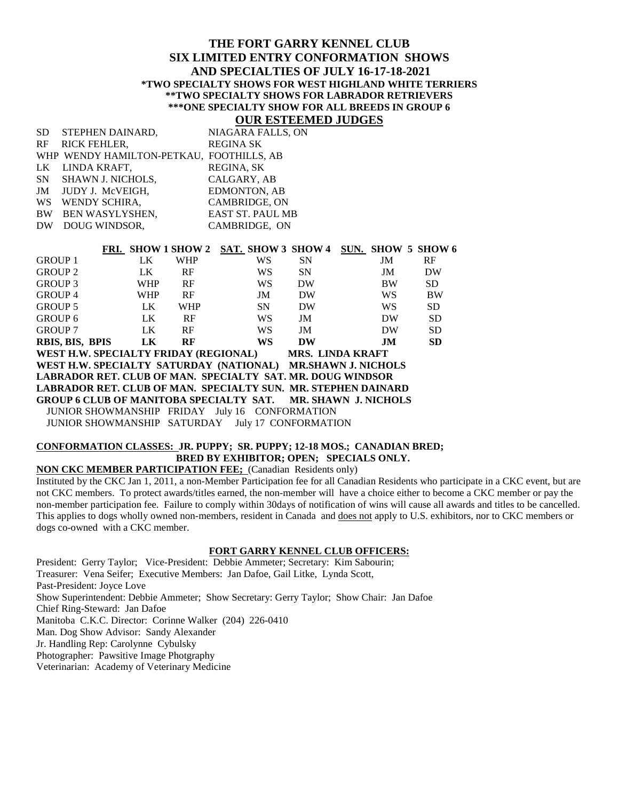#### **THE FORT GARRY KENNEL CLUB SIX LIMITED ENTRY CONFORMATION SHOWS AND SPECIALTIES OF JULY 16-17-18-2021 \*TWO SPECIALTY SHOWS FOR WEST HIGHLAND WHITE TERRIERS \*\*TWO SPECIALTY SHOWS FOR LABRADOR RETRIEVERS \*\*\*ONE SPECIALTY SHOW FOR ALL BREEDS IN GROUP 6**

## **OUR ESTEEMED JUDGES**

|    | SD STEPHEN DAINARD,                      | NIAGARA FALLS, ON       |
|----|------------------------------------------|-------------------------|
|    | RF RICK FEHLER,                          | <b>REGINA SK</b>        |
|    | WHP WENDY HAMILTON-PETKAU, FOOTHILLS, AB |                         |
|    | LK LINDA KRAFT,                          | REGINA, SK              |
|    | SN SHAWN J. NICHOLS,                     | CALGARY, AB             |
|    | JM JUDY J. McVEIGH,                      | EDMONTON, AB            |
| WS | WENDY SCHIRA,                            | <b>CAMBRIDGE, ON</b>    |
|    | BW BEN WASYLYSHEN,                       | <b>EAST ST. PAUL MB</b> |
|    | DW DOUG WINDSOR,                         | CAMBRIDGE, ON           |
|    |                                          |                         |

|                                                                     |  |            | FRI. SHOW 1 SHOW 2 | <b>SAT. SHOW 3 SHOW 4</b>                      |      |     | SUN. SHOW 5 SHOW 6 |
|---------------------------------------------------------------------|--|------------|--------------------|------------------------------------------------|------|-----|--------------------|
| <b>GROUP 1</b>                                                      |  | LK.        | <b>WHP</b>         | <b>WS</b>                                      | SN 5 | JM  | RF                 |
| <b>GROUP 2</b>                                                      |  | LK.        | RF                 | WS.                                            | SN   | JM  | <b>DW</b>          |
| <b>GROUP 3</b>                                                      |  | <b>WHP</b> | RF                 | <b>WS</b>                                      | DW   | BW  | <b>SD</b>          |
| <b>GROUP 4</b>                                                      |  | <b>WHP</b> | RF                 | JM                                             | DW   | WS. | BW                 |
| <b>GROUP 5</b>                                                      |  | LK.        | <b>WHP</b>         | <b>SN</b>                                      | DW   | WS. | <b>SD</b>          |
| GROUP 6                                                             |  | LK.        | RF                 | <b>WS</b>                                      | JM   | DW  | <b>SD</b>          |
| <b>GROUP 7</b>                                                      |  | LK         | RF                 | <b>WS</b>                                      | JM   | DW  | <b>SD</b>          |
| RBIS, BIS, BPIS                                                     |  | LK         | RF                 | <b>WS</b>                                      | DW   | .IM | <b>SD</b>          |
| WEST H.W. SPECIALTY FRIDAY (REGIONAL) MRS. LINDA KRAFT              |  |            |                    |                                                |      |     |                    |
| WEST H.W. SPECIALTY SATURDAY (NATIONAL) MR.SHAWN J. NICHOLS         |  |            |                    |                                                |      |     |                    |
| LABRADOR RET. CLUB OF MAN. SPECIALTY SAT. MR. DOUG WINDSOR          |  |            |                    |                                                |      |     |                    |
| LABRADOR RET. CLUB OF MAN. SPECIALTY SUN. MR. STEPHEN DAINARD       |  |            |                    |                                                |      |     |                    |
| <b>GROUP 6 CLUB OF MANITOBA SPECIALTY SAT. MR. SHAWN J. NICHOLS</b> |  |            |                    |                                                |      |     |                    |
|                                                                     |  |            |                    | JUNIOR SHOWMANSHIP FRIDAY July 16 CONFORMATION |      |     |                    |
|                                                                     |  |            |                    |                                                |      |     |                    |

JUNIOR SHOWMANSHIP SATURDAY July 17 CONFORMATION

#### **CONFORMATION CLASSES: JR. PUPPY; SR. PUPPY; 12-18 MOS.; CANADIAN BRED; BRED BY EXHIBITOR; OPEN; SPECIALS ONLY.**

#### **NON CKC MEMBER PARTICIPATION FEE;** (Canadian Residents only)

Instituted by the CKC Jan 1, 2011, a non-Member Participation fee for all Canadian Residents who participate in a CKC event, but are not CKC members. To protect awards/titles earned, the non-member will have a choice either to become a CKC member or pay the non-member participation fee. Failure to comply within 30days of notification of wins will cause all awards and titles to be cancelled. This applies to dogs wholly owned non-members, resident in Canada and does not apply to U.S. exhibitors, nor to CKC members or dogs co-owned with a CKC member.

#### **FORT GARRY KENNEL CLUB OFFICERS:**

President: Gerry Taylor; Vice-President: Debbie Ammeter; Secretary: Kim Sabourin; Treasurer: Vena Seifer; Executive Members: Jan Dafoe, Gail Litke, Lynda Scott, Past-President: Joyce Love Show Superintendent: Debbie Ammeter; Show Secretary: Gerry Taylor; Show Chair: Jan Dafoe Chief Ring-Steward: Jan Dafoe Manitoba C.K.C. Director: Corinne Walker (204) 226-0410 Man. Dog Show Advisor: Sandy Alexander Jr. Handling Rep: Carolynne Cybulsky Photographer: Pawsitive Image Photgraphy Veterinarian: Academy of Veterinary Medicine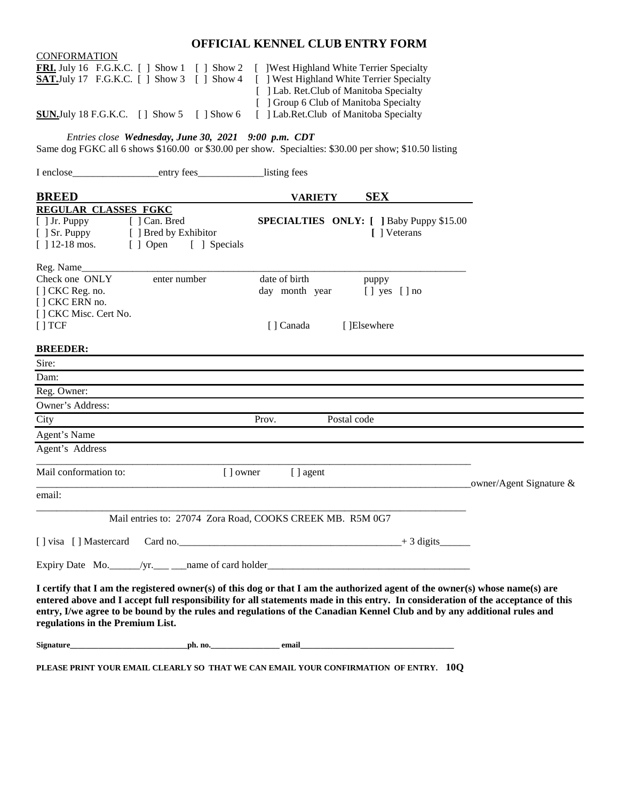# **OFFICIAL KENNEL CLUB ENTRY FORM**

| <b>CONFORMATION</b>                                                                     |                                                                                                                                                                                                                                                                                                                                                                                           |                                                                                  |                                                                 |                            |
|-----------------------------------------------------------------------------------------|-------------------------------------------------------------------------------------------------------------------------------------------------------------------------------------------------------------------------------------------------------------------------------------------------------------------------------------------------------------------------------------------|----------------------------------------------------------------------------------|-----------------------------------------------------------------|----------------------------|
|                                                                                         | <b>FRI.</b> July 16 F.G.K.C. [ ] Show 1 [ ] Show 2 [ ] West Highland White Terrier Specialty                                                                                                                                                                                                                                                                                              |                                                                                  |                                                                 |                            |
|                                                                                         | <b>SAT.July</b> 17 F.G.K.C. $\begin{bmatrix} \end{bmatrix}$ Show 3 $\begin{bmatrix} \end{bmatrix}$ Show 4                                                                                                                                                                                                                                                                                 | [ ] West Highland White Terrier Specialty                                        |                                                                 |                            |
|                                                                                         |                                                                                                                                                                                                                                                                                                                                                                                           | [ ] Lab. Ret.Club of Manitoba Specialty                                          |                                                                 |                            |
|                                                                                         | <b>SUN.</b> July 18 F.G.K.C. $\begin{bmatrix} \end{bmatrix}$ Show 5 $\begin{bmatrix} \end{bmatrix}$ Show 6                                                                                                                                                                                                                                                                                | [ ] Group 6 Club of Manitoba Specialty<br>[ ] Lab.Ret.Club of Manitoba Specialty |                                                                 |                            |
|                                                                                         | Entries close Wednesday, June 30, 2021 9:00 p.m. CDT<br>Same dog FGKC all 6 shows \$160.00 or \$30.00 per show. Specialties: \$30.00 per show; \$10.50 listing                                                                                                                                                                                                                            |                                                                                  |                                                                 |                            |
|                                                                                         |                                                                                                                                                                                                                                                                                                                                                                                           | listing fees                                                                     |                                                                 |                            |
| <b>BREED</b>                                                                            |                                                                                                                                                                                                                                                                                                                                                                                           | <b>VARIETY</b>                                                                   | <b>SEX</b>                                                      |                            |
| <b>REGULAR CLASSES FGKC</b><br>$[$ ] Jr. Puppy<br>$[$ $]$ Sr. Puppy<br>$[$ ] 12-18 mos. | [ ] Can. Bred<br>[ ] Bred by Exhibitor<br>[ ] Open [ ] Specials                                                                                                                                                                                                                                                                                                                           |                                                                                  | <b>SPECIALTIES ONLY:</b> [ ] Baby Puppy \$15.00<br>[ ] Veterans |                            |
| Reg. Name<br>Check one ONLY                                                             | enter number                                                                                                                                                                                                                                                                                                                                                                              | date of birth                                                                    | puppy                                                           |                            |
| [] CKC Reg. no.<br>[] CKC ERN no.                                                       |                                                                                                                                                                                                                                                                                                                                                                                           | day month year                                                                   | $[ ]$ yes $[ ]$ no                                              |                            |
| [] CKC Misc. Cert No.<br>[ ] TCF                                                        |                                                                                                                                                                                                                                                                                                                                                                                           | [ Canada                                                                         | [ ]Elsewhere                                                    |                            |
| <b>BREEDER:</b>                                                                         |                                                                                                                                                                                                                                                                                                                                                                                           |                                                                                  |                                                                 |                            |
| Sire:                                                                                   |                                                                                                                                                                                                                                                                                                                                                                                           |                                                                                  |                                                                 |                            |
| Dam:                                                                                    |                                                                                                                                                                                                                                                                                                                                                                                           |                                                                                  |                                                                 |                            |
| Reg. Owner:                                                                             |                                                                                                                                                                                                                                                                                                                                                                                           |                                                                                  |                                                                 |                            |
| Owner's Address:                                                                        |                                                                                                                                                                                                                                                                                                                                                                                           |                                                                                  |                                                                 |                            |
| City                                                                                    |                                                                                                                                                                                                                                                                                                                                                                                           | Prov.                                                                            | Postal code                                                     |                            |
| Agent's Name                                                                            |                                                                                                                                                                                                                                                                                                                                                                                           |                                                                                  |                                                                 |                            |
| Agent's Address                                                                         |                                                                                                                                                                                                                                                                                                                                                                                           |                                                                                  |                                                                 |                            |
| Mail conformation to:                                                                   | [ ] owner                                                                                                                                                                                                                                                                                                                                                                                 | [ ] agent                                                                        |                                                                 | owner/Agent Signature $\&$ |
| email:                                                                                  |                                                                                                                                                                                                                                                                                                                                                                                           |                                                                                  |                                                                 |                            |
|                                                                                         | Mail entries to: 27074 Zora Road, COOKS CREEK MB. R5M 0G7                                                                                                                                                                                                                                                                                                                                 |                                                                                  |                                                                 |                            |
|                                                                                         |                                                                                                                                                                                                                                                                                                                                                                                           |                                                                                  |                                                                 |                            |
|                                                                                         |                                                                                                                                                                                                                                                                                                                                                                                           |                                                                                  |                                                                 |                            |
| regulations in the Premium List.                                                        | I certify that I am the registered owner(s) of this dog or that I am the authorized agent of the owner(s) whose name(s) are<br>entered above and I accept full responsibility for all statements made in this entry. In consideration of the acceptance of this<br>entry, I/we agree to be bound by the rules and regulations of the Canadian Kennel Club and by any additional rules and |                                                                                  |                                                                 |                            |
|                                                                                         |                                                                                                                                                                                                                                                                                                                                                                                           |                                                                                  |                                                                 |                            |
|                                                                                         | PLEASE PRINT YOUR EMAIL CLEARLY SO THAT WE CAN EMAIL YOUR CONFIRMATION OF ENTRY. 10Q                                                                                                                                                                                                                                                                                                      |                                                                                  |                                                                 |                            |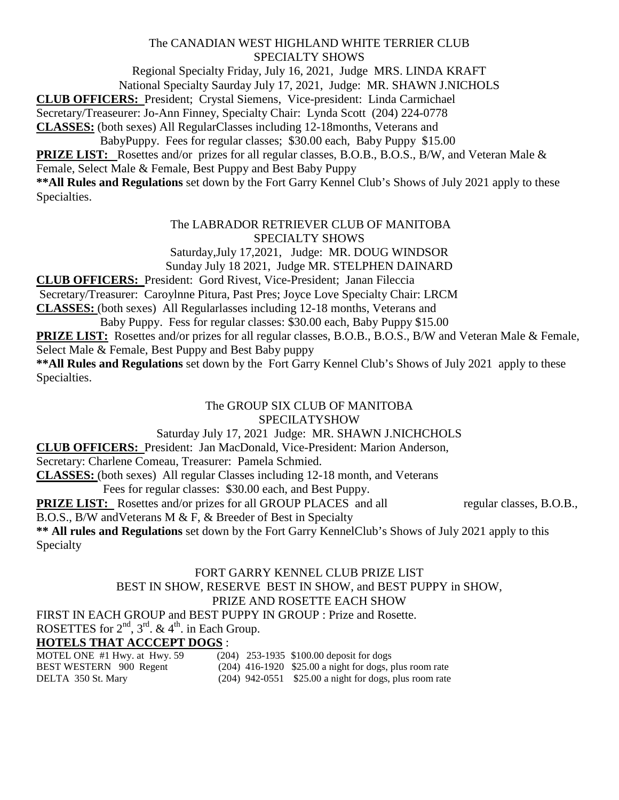## The CANADIAN WEST HIGHLAND WHITE TERRIER CLUB SPECIALTY SHOWS

Regional Specialty Friday, July 16, 2021, Judge MRS. LINDA KRAFT

National Specialty Saurday July 17, 2021, Judge: MR. SHAWN J.NICHOLS

**CLUB OFFICERS:** President; Crystal Siemens, Vice-president: Linda Carmichael

Secretary/Treaseurer: Jo-Ann Finney, Specialty Chair: Lynda Scott (204) 224-0778

**CLASSES:** (both sexes) All RegularClasses including 12-18months, Veterans and

BabyPuppy. Fees for regular classes; \$30.00 each, Baby Puppy \$15.00

**PRIZE LIST:** Rosettes and/or prizes for all regular classes, B.O.B., B.O.S., B/W, and Veteran Male & Female, Select Male & Female, Best Puppy and Best Baby Puppy

**\*\*All Rules and Regulations** set down by the Fort Garry Kennel Club's Shows of July 2021 apply to these Specialties.

## The LABRADOR RETRIEVER CLUB OF MANITOBA SPECIALTY SHOWS

Saturday,July 17,2021, Judge: MR. DOUG WINDSOR Sunday July 18 2021, Judge MR. STELPHEN DAINARD

**CLUB OFFICERS:** President: Gord Rivest, Vice-President; Janan Fileccia

Secretary/Treasurer: Caroylnne Pitura, Past Pres; Joyce Love Specialty Chair: LRCM

**CLASSES:** (both sexes) All Regularlasses including 12-18 months, Veterans and

Baby Puppy. Fess for regular classes: \$30.00 each, Baby Puppy \$15.00

**PRIZE LIST:** Rosettes and/or prizes for all regular classes, B.O.B., B.O.S., B/W and Veteran Male & Female, Select Male & Female, Best Puppy and Best Baby puppy

**\*\*All Rules and Regulations** set down by the Fort Garry Kennel Club's Shows of July 2021 apply to these Specialties.

# The GROUP SIX CLUB OF MANITOBA SPECILATYSHOW

# Saturday July 17, 2021 Judge: MR. SHAWN J.NICHCHOLS

**CLUB OFFICERS:** President: Jan MacDonald, Vice-President: Marion Anderson,

Secretary: Charlene Comeau, Treasurer: Pamela Schmied.

**CLASSES:** (both sexes) All regular Classes including 12-18 month, and Veterans

Fees for regular classes: \$30.00 each, and Best Puppy.

**PRIZE LIST:** Rosettes and/or prizes for all GROUP PLACES and all regular classes, B.O.B.,

B.O.S., B/W andVeterans M & F, & Breeder of Best in Specialty

**\*\* All rules and Regulations** set down by the Fort Garry KennelClub's Shows of July 2021 apply to this Specialty

## FORT GARRY KENNEL CLUB PRIZE LIST BEST IN SHOW, RESERVE BEST IN SHOW, and BEST PUPPY in SHOW, PRIZE AND ROSETTE EACH SHOW

FIRST IN EACH GROUP and BEST PUPPY IN GROUP : Prize and Rosette.

ROSETTES for  $2<sup>nd</sup>$ ,  $3<sup>rd</sup>$ . &  $4<sup>th</sup>$ . in Each Group.

# **HOTELS THAT ACCCEPT DOGS** :<br>MOTEL ONE #1 Hwy. at Hwy. 59 (20)

(204) 253-1935 \$100.00 deposit for dogs BEST WESTERN 900 Regent (204) 416-1920 \$25.00 a night for dogs, plus room rate DELTA 350 St. Mary (204) 942-0551 \$25.00 a night for dogs, plus room rate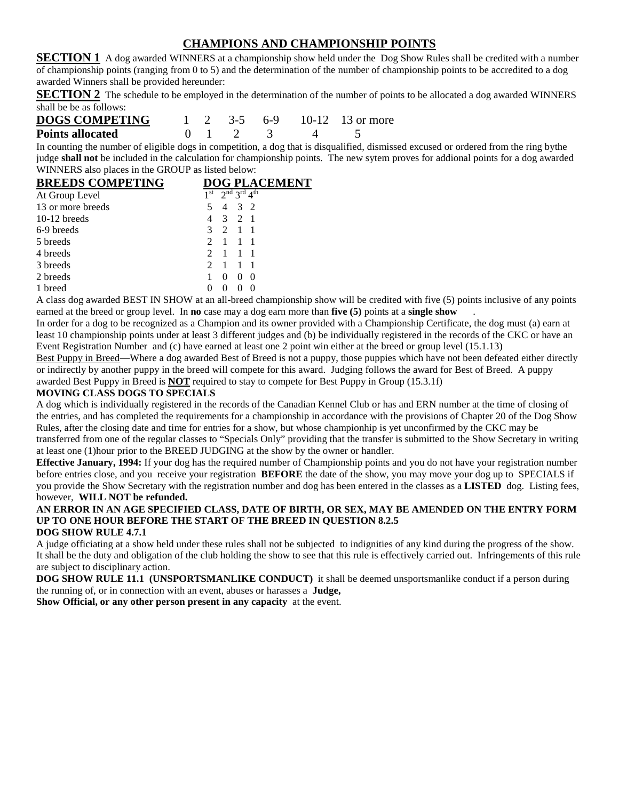## **CHAMPIONS AND CHAMPIONSHIP POINTS**

**SECTION 1** A dog awarded WINNERS at a championship show held under the Dog Show Rules shall be credited with a number of championship points (ranging from 0 to 5) and the determination of the number of championship points to be accredited to a dog awarded Winners shall be provided hereunder:

**SECTION 2** The schedule to be employed in the determination of the number of points to be allocated a dog awarded WINNERS shall be be as follows:

| <b>DOGS COMPETING</b>   |  |  |                              | $1 \quad 2 \quad 3-5 \quad 6-9 \quad 10-12 \quad 13 \text{ or more}$ |
|-------------------------|--|--|------------------------------|----------------------------------------------------------------------|
| <b>Points allocated</b> |  |  | $0 \t 1 \t 2 \t 3 \t 4 \t 5$ |                                                                      |

In counting the number of eligible dogs in competition, a dog that is disqualified, dismissed excused or ordered from the ring bythe judge **shall not** be included in the calculation for championship points. The new sytem proves for addional points for a dog awarded WINNERS also places in the GROUP as listed below:

| <b>BREEDS COMPETING</b> | <b>DOG PLACEMENT</b>                                                 |
|-------------------------|----------------------------------------------------------------------|
| At Group Level          | $1st$ $2nd$ $3rd$ $4th$                                              |
| 13 or more breeds       | 3 2<br>$\overline{4}$                                                |
| $10-12$ breeds          | 3 2 1                                                                |
| 6-9 breeds              | 2<br>$\overline{1}$<br>3                                             |
| 5 breeds                | $\begin{array}{cc} 1 & 1 \end{array}$<br>$\mathcal{D}_{\mathcal{L}}$ |
| 4 breeds                | $\mathbf{1}$<br>$-1$ 1<br>$\mathcal{D}_{\mathcal{L}}$                |
| 3 breeds                | $\mathcal{D}$<br>$\overline{1}$<br>1                                 |
| 2 breeds                | $\theta$<br>$\theta$                                                 |
| 1 breed                 |                                                                      |

A class dog awarded BEST IN SHOW at an all-breed championship show will be credited with five (5) points inclusive of any points earned at the breed or group level. In **no** case may a dog earn more than **five (5)** points at a **single show** .

In order for a dog to be recognized as a Champion and its owner provided with a Championship Certificate, the dog must (a) earn at least 10 championship points under at least 3 different judges and (b) be individually registered in the records of the CKC or have an Event Registration Number and (c) have earned at least one 2 point win either at the breed or group level (15.1.13)

Best Puppy in Breed—Where a dog awarded Best of Breed is not a puppy, those puppies which have not been defeated either directly or indirectly by another puppy in the breed will compete for this award. Judging follows the award for Best of Breed. A puppy awarded Best Puppy in Breed is **NOT** required to stay to compete for Best Puppy in Group (15.3.1f)

#### **MOVING CLASS DOGS TO SPECIALS**

A dog which is individually registered in the records of the Canadian Kennel Club or has and ERN number at the time of closing of the entries, and has completed the requirements for a championship in accordance with the provisions of Chapter 20 of the Dog Show Rules, after the closing date and time for entries for a show, but whose championhip is yet unconfirmed by the CKC may be transferred from one of the regular classes to "Specials Only" providing that the transfer is submitted to the Show Secretary in writing at least one (1)hour prior to the BREED JUDGING at the show by the owner or handler.

**Effective January, 1994:** If your dog has the required number of Championship points and you do not have your registration number before entries close, and you receive your registration **BEFORE** the date of the show, you may move your dog up to SPECIALS if you provide the Show Secretary with the registration number and dog has been entered in the classes as a **LISTED** dog. Listing fees, however, **WILL NOT be refunded.**

#### **AN ERROR IN AN AGE SPECIFIED CLASS, DATE OF BIRTH, OR SEX, MAY BE AMENDED ON THE ENTRY FORM UP TO ONE HOUR BEFORE THE START OF THE BREED IN QUESTION 8.2.5**

#### **DOG SHOW RULE 4.7.1**

A judge officiating at a show held under these rules shall not be subjected to indignities of any kind during the progress of the show. It shall be the duty and obligation of the club holding the show to see that this rule is effectively carried out. Infringements of this rule are subject to disciplinary action.

**DOG SHOW RULE 11.1 (UNSPORTSMANLIKE CONDUCT)** it shall be deemed unsportsmanlike conduct if a person during the running of, or in connection with an event, abuses or harasses a **Judge,**

**Show Official, or any other person present in any capacity** at the event.